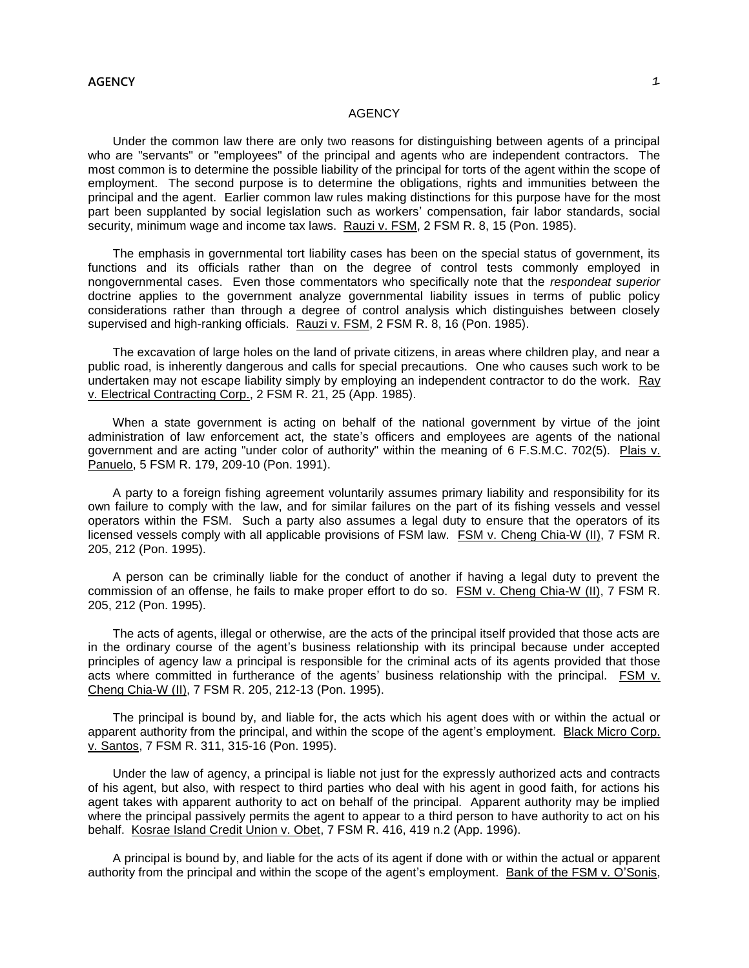# **AGENCY**

Under the common law there are only two reasons for distinguishing between agents of a principal who are "servants" or "employees" of the principal and agents who are independent contractors. The most common is to determine the possible liability of the principal for torts of the agent within the scope of employment. The second purpose is to determine the obligations, rights and immunities between the principal and the agent. Earlier common law rules making distinctions for this purpose have for the most part been supplanted by social legislation such as workers' compensation, fair labor standards, social security, minimum wage and income tax laws. Rauzi v. FSM, 2 FSM R. 8, 15 (Pon. 1985).

The emphasis in governmental tort liability cases has been on the special status of government, its functions and its officials rather than on the degree of control tests commonly employed in nongovernmental cases. Even those commentators who specifically note that the *respondeat superior* doctrine applies to the government analyze governmental liability issues in terms of public policy considerations rather than through a degree of control analysis which distinguishes between closely supervised and high-ranking officials. Rauzi v. FSM, 2 FSM R. 8, 16 (Pon. 1985).

The excavation of large holes on the land of private citizens, in areas where children play, and near a public road, is inherently dangerous and calls for special precautions. One who causes such work to be undertaken may not escape liability simply by employing an independent contractor to do the work. Ray v. Electrical Contracting Corp., 2 FSM R. 21, 25 (App. 1985).

When a state government is acting on behalf of the national government by virtue of the joint administration of law enforcement act, the state's officers and employees are agents of the national government and are acting "under color of authority" within the meaning of 6 F.S.M.C. 702(5). Plais v. Panuelo, 5 FSM R. 179, 209-10 (Pon. 1991).

A party to a foreign fishing agreement voluntarily assumes primary liability and responsibility for its own failure to comply with the law, and for similar failures on the part of its fishing vessels and vessel operators within the FSM. Such a party also assumes a legal duty to ensure that the operators of its licensed vessels comply with all applicable provisions of FSM law. FSM v. Cheng Chia-W (II), 7 FSM R. 205, 212 (Pon. 1995).

A person can be criminally liable for the conduct of another if having a legal duty to prevent the commission of an offense, he fails to make proper effort to do so. FSM v. Cheng Chia-W (II), 7 FSM R. 205, 212 (Pon. 1995).

The acts of agents, illegal or otherwise, are the acts of the principal itself provided that those acts are in the ordinary course of the agent's business relationship with its principal because under accepted principles of agency law a principal is responsible for the criminal acts of its agents provided that those acts where committed in furtherance of the agents' business relationship with the principal. FSM v. Cheng Chia-W (II), 7 FSM R. 205, 212-13 (Pon. 1995).

The principal is bound by, and liable for, the acts which his agent does with or within the actual or apparent authority from the principal, and within the scope of the agent's employment. Black Micro Corp. v. Santos, 7 FSM R. 311, 315-16 (Pon. 1995).

Under the law of agency, a principal is liable not just for the expressly authorized acts and contracts of his agent, but also, with respect to third parties who deal with his agent in good faith, for actions his agent takes with apparent authority to act on behalf of the principal. Apparent authority may be implied where the principal passively permits the agent to appear to a third person to have authority to act on his behalf. Kosrae Island Credit Union v. Obet, 7 FSM R. 416, 419 n.2 (App. 1996).

A principal is bound by, and liable for the acts of its agent if done with or within the actual or apparent authority from the principal and within the scope of the agent's employment. Bank of the FSM v. O'Sonis,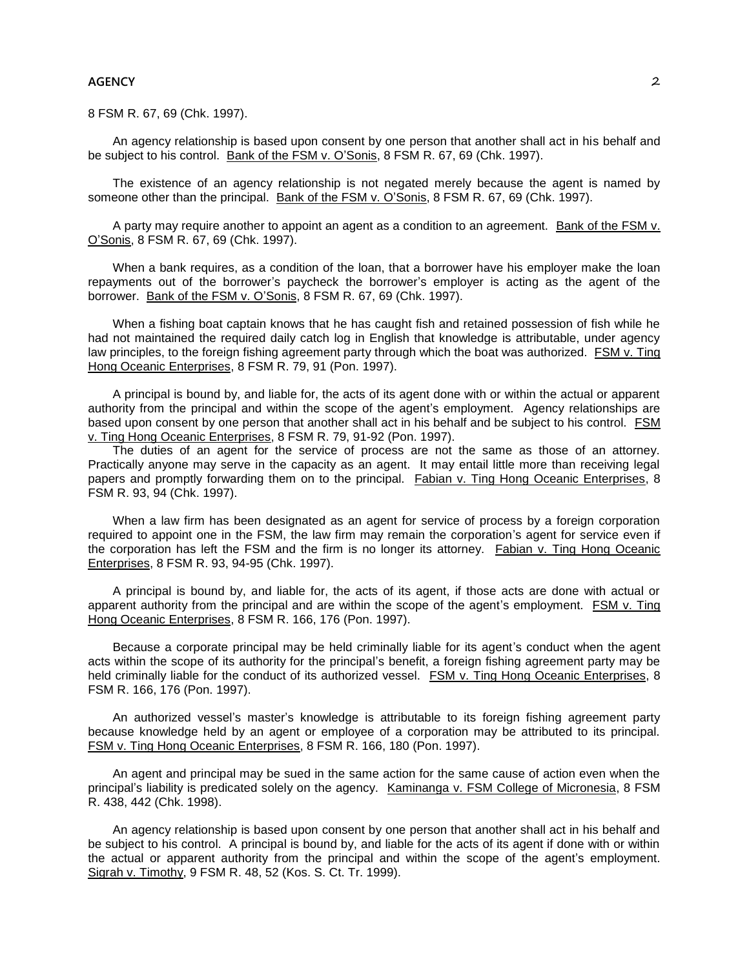8 FSM R. 67, 69 (Chk. 1997).

An agency relationship is based upon consent by one person that another shall act in his behalf and be subject to his control. Bank of the FSM v. O'Sonis, 8 FSM R. 67, 69 (Chk. 1997).

The existence of an agency relationship is not negated merely because the agent is named by someone other than the principal. Bank of the FSM v. O'Sonis, 8 FSM R. 67, 69 (Chk. 1997).

A party may require another to appoint an agent as a condition to an agreement. Bank of the FSM v. O'Sonis, 8 FSM R. 67, 69 (Chk. 1997).

When a bank requires, as a condition of the loan, that a borrower have his employer make the loan repayments out of the borrower's paycheck the borrower's employer is acting as the agent of the borrower. Bank of the FSM v. O'Sonis, 8 FSM R. 67, 69 (Chk. 1997).

When a fishing boat captain knows that he has caught fish and retained possession of fish while he had not maintained the required daily catch log in English that knowledge is attributable, under agency law principles, to the foreign fishing agreement party through which the boat was authorized. FSM v. Ting Hong Oceanic Enterprises, 8 FSM R. 79, 91 (Pon. 1997).

A principal is bound by, and liable for, the acts of its agent done with or within the actual or apparent authority from the principal and within the scope of the agent's employment. Agency relationships are based upon consent by one person that another shall act in his behalf and be subject to his control. FSM v. Ting Hong Oceanic Enterprises, 8 FSM R. 79, 91-92 (Pon. 1997).

The duties of an agent for the service of process are not the same as those of an attorney. Practically anyone may serve in the capacity as an agent. It may entail little more than receiving legal papers and promptly forwarding them on to the principal. Fabian v. Ting Hong Oceanic Enterprises, 8 FSM R. 93, 94 (Chk. 1997).

When a law firm has been designated as an agent for service of process by a foreign corporation required to appoint one in the FSM, the law firm may remain the corporation's agent for service even if the corporation has left the FSM and the firm is no longer its attorney. Fabian v. Ting Hong Oceanic Enterprises, 8 FSM R. 93, 94-95 (Chk. 1997).

A principal is bound by, and liable for, the acts of its agent, if those acts are done with actual or apparent authority from the principal and are within the scope of the agent's employment. FSM v. Ting Hong Oceanic Enterprises, 8 FSM R. 166, 176 (Pon. 1997).

Because a corporate principal may be held criminally liable for its agent's conduct when the agent acts within the scope of its authority for the principal's benefit, a foreign fishing agreement party may be held criminally liable for the conduct of its authorized vessel. FSM v. Ting Hong Oceanic Enterprises, 8 FSM R. 166, 176 (Pon. 1997).

An authorized vessel's master's knowledge is attributable to its foreign fishing agreement party because knowledge held by an agent or employee of a corporation may be attributed to its principal. FSM v. Ting Hong Oceanic Enterprises, 8 FSM R. 166, 180 (Pon. 1997).

An agent and principal may be sued in the same action for the same cause of action even when the principal's liability is predicated solely on the agency. Kaminanga v. FSM College of Micronesia, 8 FSM R. 438, 442 (Chk. 1998).

An agency relationship is based upon consent by one person that another shall act in his behalf and be subject to his control. A principal is bound by, and liable for the acts of its agent if done with or within the actual or apparent authority from the principal and within the scope of the agent's employment. Sigrah v. Timothy, 9 FSM R. 48, 52 (Kos. S. Ct. Tr. 1999).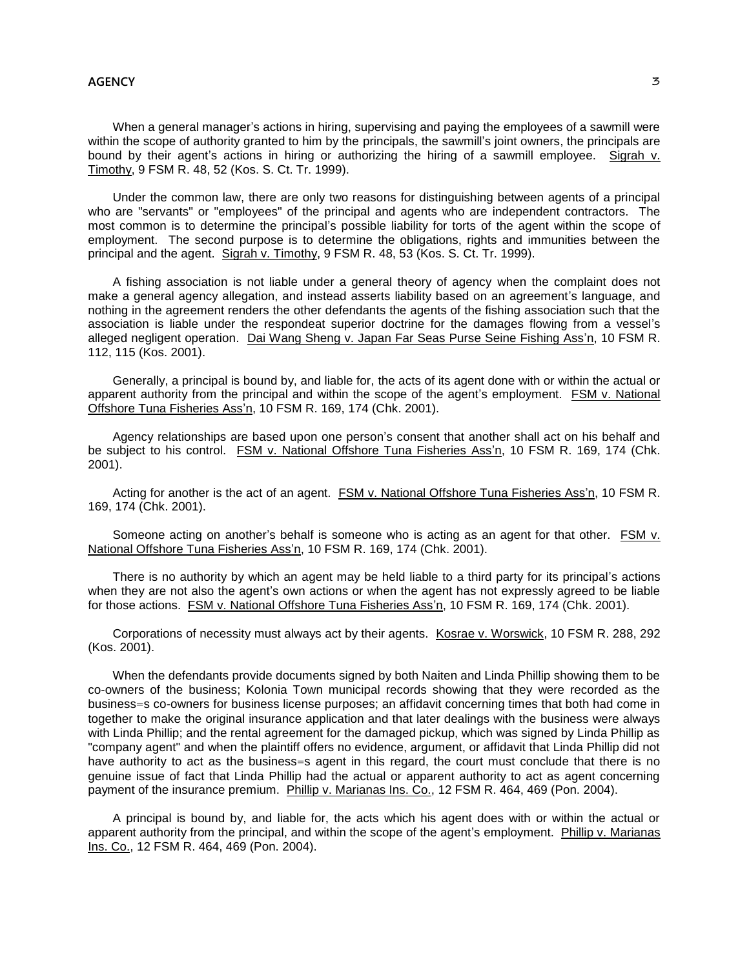When a general manager's actions in hiring, supervising and paying the employees of a sawmill were within the scope of authority granted to him by the principals, the sawmill's joint owners, the principals are bound by their agent's actions in hiring or authorizing the hiring of a sawmill employee. Sigrah v. Timothy, 9 FSM R. 48, 52 (Kos. S. Ct. Tr. 1999).

Under the common law, there are only two reasons for distinguishing between agents of a principal who are "servants" or "employees" of the principal and agents who are independent contractors. The most common is to determine the principal's possible liability for torts of the agent within the scope of employment. The second purpose is to determine the obligations, rights and immunities between the principal and the agent. Sigrah v. Timothy, 9 FSM R. 48, 53 (Kos. S. Ct. Tr. 1999).

A fishing association is not liable under a general theory of agency when the complaint does not make a general agency allegation, and instead asserts liability based on an agreement's language, and nothing in the agreement renders the other defendants the agents of the fishing association such that the association is liable under the respondeat superior doctrine for the damages flowing from a vessel's alleged negligent operation. Dai Wang Sheng v. Japan Far Seas Purse Seine Fishing Ass'n, 10 FSM R. 112, 115 (Kos. 2001).

Generally, a principal is bound by, and liable for, the acts of its agent done with or within the actual or apparent authority from the principal and within the scope of the agent's employment. FSM v. National Offshore Tuna Fisheries Ass'n, 10 FSM R. 169, 174 (Chk. 2001).

Agency relationships are based upon one person's consent that another shall act on his behalf and be subject to his control. FSM v. National Offshore Tuna Fisheries Ass'n, 10 FSM R. 169, 174 (Chk. 2001).

Acting for another is the act of an agent. FSM v. National Offshore Tuna Fisheries Ass'n, 10 FSM R. 169, 174 (Chk. 2001).

Someone acting on another's behalf is someone who is acting as an agent for that other. FSM v. National Offshore Tuna Fisheries Ass'n, 10 FSM R. 169, 174 (Chk. 2001).

There is no authority by which an agent may be held liable to a third party for its principal's actions when they are not also the agent's own actions or when the agent has not expressly agreed to be liable for those actions. FSM v. National Offshore Tuna Fisheries Ass'n, 10 FSM R. 169, 174 (Chk. 2001).

Corporations of necessity must always act by their agents. Kosrae v. Worswick, 10 FSM R. 288, 292 (Kos. 2001).

When the defendants provide documents signed by both Naiten and Linda Phillip showing them to be co-owners of the business; Kolonia Town municipal records showing that they were recorded as the business=s co-owners for business license purposes; an affidavit concerning times that both had come in together to make the original insurance application and that later dealings with the business were always with Linda Phillip; and the rental agreement for the damaged pickup, which was signed by Linda Phillip as "company agent" and when the plaintiff offers no evidence, argument, or affidavit that Linda Phillip did not have authority to act as the business=s agent in this regard, the court must conclude that there is no genuine issue of fact that Linda Phillip had the actual or apparent authority to act as agent concerning payment of the insurance premium. Phillip v. Marianas Ins. Co., 12 FSM R. 464, 469 (Pon. 2004).

A principal is bound by, and liable for, the acts which his agent does with or within the actual or apparent authority from the principal, and within the scope of the agent's employment. Phillip v. Marianas Ins. Co., 12 FSM R. 464, 469 (Pon. 2004).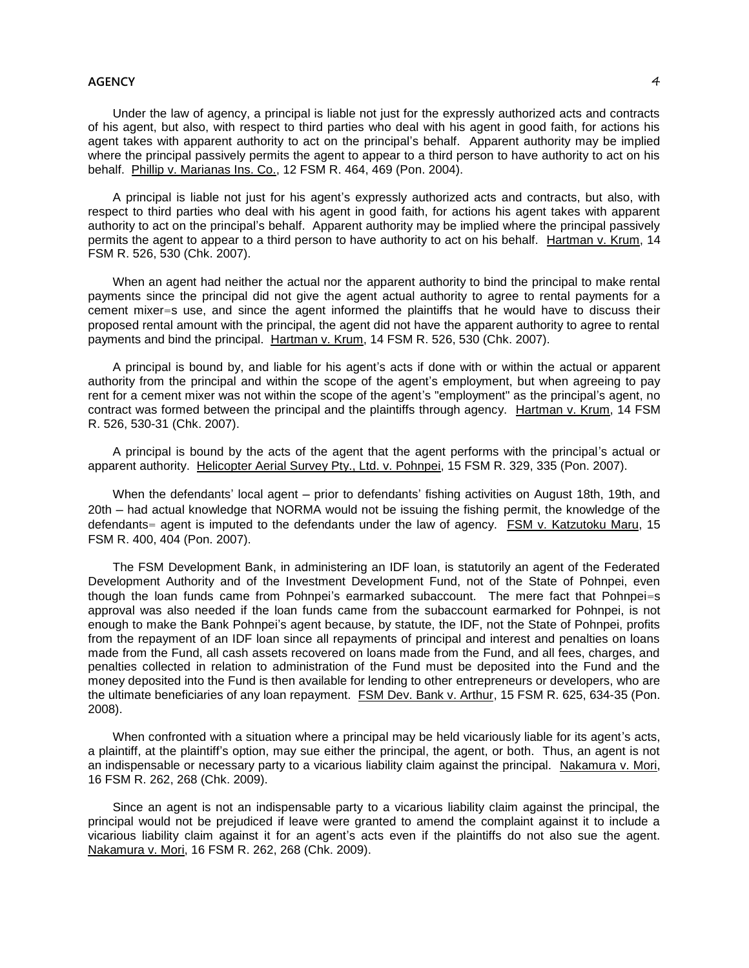Under the law of agency, a principal is liable not just for the expressly authorized acts and contracts of his agent, but also, with respect to third parties who deal with his agent in good faith, for actions his agent takes with apparent authority to act on the principal's behalf. Apparent authority may be implied where the principal passively permits the agent to appear to a third person to have authority to act on his behalf. Phillip v. Marianas Ins. Co., 12 FSM R. 464, 469 (Pon. 2004).

A principal is liable not just for his agent's expressly authorized acts and contracts, but also, with respect to third parties who deal with his agent in good faith, for actions his agent takes with apparent authority to act on the principal's behalf. Apparent authority may be implied where the principal passively permits the agent to appear to a third person to have authority to act on his behalf. Hartman v. Krum, 14 FSM R. 526, 530 (Chk. 2007).

When an agent had neither the actual nor the apparent authority to bind the principal to make rental payments since the principal did not give the agent actual authority to agree to rental payments for a cement mixer=s use, and since the agent informed the plaintiffs that he would have to discuss their proposed rental amount with the principal, the agent did not have the apparent authority to agree to rental payments and bind the principal. Hartman v. Krum, 14 FSM R. 526, 530 (Chk. 2007).

A principal is bound by, and liable for his agent's acts if done with or within the actual or apparent authority from the principal and within the scope of the agent's employment, but when agreeing to pay rent for a cement mixer was not within the scope of the agent's "employment" as the principal's agent, no contract was formed between the principal and the plaintiffs through agency. Hartman v. Krum, 14 FSM R. 526, 530-31 (Chk. 2007).

A principal is bound by the acts of the agent that the agent performs with the principal's actual or apparent authority. Helicopter Aerial Survey Pty., Ltd. v. Pohnpei, 15 FSM R. 329, 335 (Pon. 2007).

When the defendants' local agent – prior to defendants' fishing activities on August 18th, 19th, and 20th ─ had actual knowledge that NORMA would not be issuing the fishing permit, the knowledge of the defendants= agent is imputed to the defendants under the law of agency. FSM v. Katzutoku Maru, 15 FSM R. 400, 404 (Pon. 2007).

The FSM Development Bank, in administering an IDF loan, is statutorily an agent of the Federated Development Authority and of the Investment Development Fund, not of the State of Pohnpei, even though the loan funds came from Pohnpei's earmarked subaccount. The mere fact that Pohnpei=s approval was also needed if the loan funds came from the subaccount earmarked for Pohnpei, is not enough to make the Bank Pohnpei's agent because, by statute, the IDF, not the State of Pohnpei, profits from the repayment of an IDF loan since all repayments of principal and interest and penalties on loans made from the Fund, all cash assets recovered on loans made from the Fund, and all fees, charges, and penalties collected in relation to administration of the Fund must be deposited into the Fund and the money deposited into the Fund is then available for lending to other entrepreneurs or developers, who are the ultimate beneficiaries of any loan repayment. FSM Dev. Bank v. Arthur, 15 FSM R. 625, 634-35 (Pon. 2008).

When confronted with a situation where a principal may be held vicariously liable for its agent's acts, a plaintiff, at the plaintiff's option, may sue either the principal, the agent, or both. Thus, an agent is not an indispensable or necessary party to a vicarious liability claim against the principal. Nakamura v. Mori, 16 FSM R. 262, 268 (Chk. 2009).

Since an agent is not an indispensable party to a vicarious liability claim against the principal, the principal would not be prejudiced if leave were granted to amend the complaint against it to include a vicarious liability claim against it for an agent's acts even if the plaintiffs do not also sue the agent. Nakamura v. Mori, 16 FSM R. 262, 268 (Chk. 2009).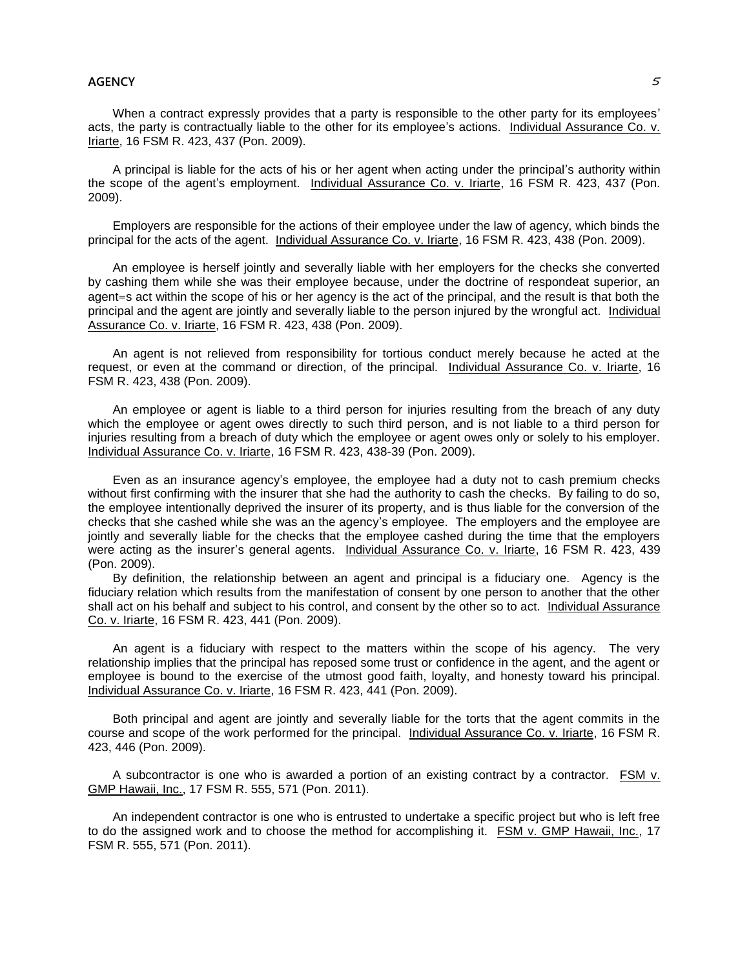When a contract expressly provides that a party is responsible to the other party for its employees' acts, the party is contractually liable to the other for its employee's actions. Individual Assurance Co. v. Iriarte, 16 FSM R. 423, 437 (Pon. 2009).

A principal is liable for the acts of his or her agent when acting under the principal's authority within the scope of the agent's employment. Individual Assurance Co. v. Iriarte, 16 FSM R. 423, 437 (Pon. 2009).

Employers are responsible for the actions of their employee under the law of agency, which binds the principal for the acts of the agent. Individual Assurance Co. v. Iriarte, 16 FSM R. 423, 438 (Pon. 2009).

An employee is herself jointly and severally liable with her employers for the checks she converted by cashing them while she was their employee because, under the doctrine of respondeat superior, an agent=s act within the scope of his or her agency is the act of the principal, and the result is that both the principal and the agent are jointly and severally liable to the person injured by the wrongful act. Individual Assurance Co. v. Iriarte, 16 FSM R. 423, 438 (Pon. 2009).

An agent is not relieved from responsibility for tortious conduct merely because he acted at the request, or even at the command or direction, of the principal. Individual Assurance Co. v. Iriarte, 16 FSM R. 423, 438 (Pon. 2009).

An employee or agent is liable to a third person for injuries resulting from the breach of any duty which the employee or agent owes directly to such third person, and is not liable to a third person for injuries resulting from a breach of duty which the employee or agent owes only or solely to his employer. Individual Assurance Co. v. Iriarte, 16 FSM R. 423, 438-39 (Pon. 2009).

Even as an insurance agency's employee, the employee had a duty not to cash premium checks without first confirming with the insurer that she had the authority to cash the checks. By failing to do so, the employee intentionally deprived the insurer of its property, and is thus liable for the conversion of the checks that she cashed while she was an the agency's employee. The employers and the employee are jointly and severally liable for the checks that the employee cashed during the time that the employers were acting as the insurer's general agents. Individual Assurance Co. v. Iriarte, 16 FSM R. 423, 439 (Pon. 2009).

By definition, the relationship between an agent and principal is a fiduciary one. Agency is the fiduciary relation which results from the manifestation of consent by one person to another that the other shall act on his behalf and subject to his control, and consent by the other so to act. Individual Assurance Co. v. Iriarte, 16 FSM R. 423, 441 (Pon. 2009).

An agent is a fiduciary with respect to the matters within the scope of his agency. The very relationship implies that the principal has reposed some trust or confidence in the agent, and the agent or employee is bound to the exercise of the utmost good faith, loyalty, and honesty toward his principal. Individual Assurance Co. v. Iriarte, 16 FSM R. 423, 441 (Pon. 2009).

Both principal and agent are jointly and severally liable for the torts that the agent commits in the course and scope of the work performed for the principal. Individual Assurance Co. v. Iriarte, 16 FSM R. 423, 446 (Pon. 2009).

A subcontractor is one who is awarded a portion of an existing contract by a contractor. FSM v. GMP Hawaii, Inc., 17 FSM R. 555, 571 (Pon. 2011).

An independent contractor is one who is entrusted to undertake a specific project but who is left free to do the assigned work and to choose the method for accomplishing it. FSM v. GMP Hawaii, Inc., 17 FSM R. 555, 571 (Pon. 2011).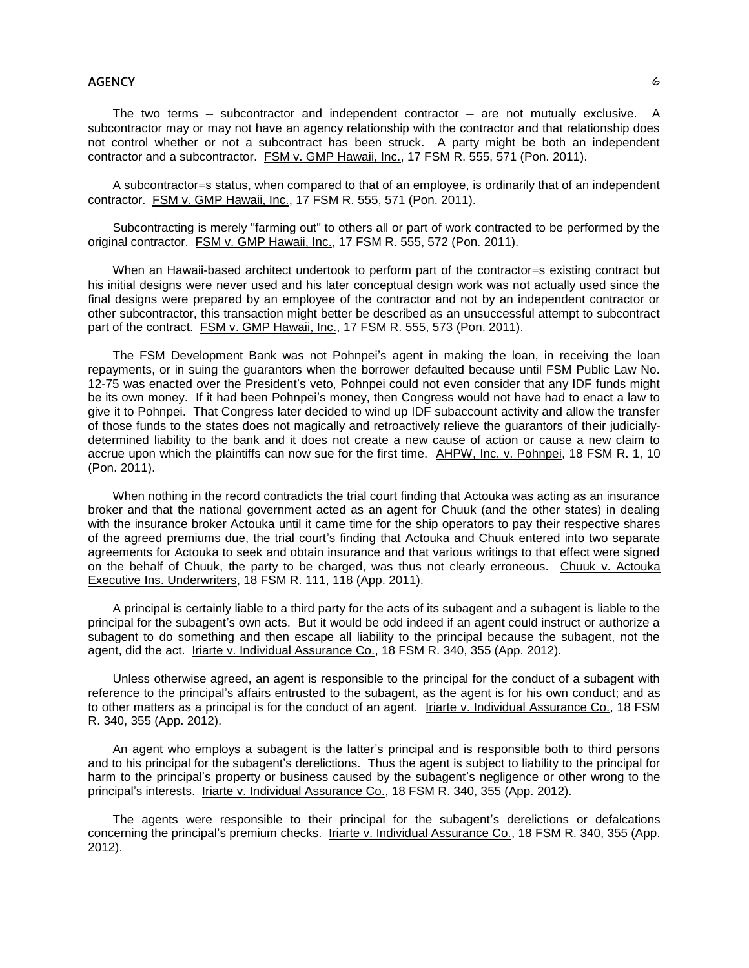The two terms – subcontractor and independent contractor – are not mutually exclusive. A subcontractor may or may not have an agency relationship with the contractor and that relationship does not control whether or not a subcontract has been struck. A party might be both an independent contractor and a subcontractor. FSM v. GMP Hawaii, Inc., 17 FSM R. 555, 571 (Pon. 2011).

A subcontractor=s status, when compared to that of an employee, is ordinarily that of an independent contractor. FSM v. GMP Hawaii, Inc., 17 FSM R. 555, 571 (Pon. 2011).

Subcontracting is merely "farming out" to others all or part of work contracted to be performed by the original contractor. FSM v. GMP Hawaii, Inc., 17 FSM R. 555, 572 (Pon. 2011).

When an Hawaii-based architect undertook to perform part of the contractor=s existing contract but his initial designs were never used and his later conceptual design work was not actually used since the final designs were prepared by an employee of the contractor and not by an independent contractor or other subcontractor, this transaction might better be described as an unsuccessful attempt to subcontract part of the contract. FSM v. GMP Hawaii, Inc., 17 FSM R. 555, 573 (Pon. 2011).

The FSM Development Bank was not Pohnpei's agent in making the loan, in receiving the loan repayments, or in suing the guarantors when the borrower defaulted because until FSM Public Law No. 12-75 was enacted over the President's veto, Pohnpei could not even consider that any IDF funds might be its own money. If it had been Pohnpei's money, then Congress would not have had to enact a law to give it to Pohnpei. That Congress later decided to wind up IDF subaccount activity and allow the transfer of those funds to the states does not magically and retroactively relieve the guarantors of their judiciallydetermined liability to the bank and it does not create a new cause of action or cause a new claim to accrue upon which the plaintiffs can now sue for the first time. AHPW, Inc. v. Pohnpei, 18 FSM R. 1, 10 (Pon. 2011).

When nothing in the record contradicts the trial court finding that Actouka was acting as an insurance broker and that the national government acted as an agent for Chuuk (and the other states) in dealing with the insurance broker Actouka until it came time for the ship operators to pay their respective shares of the agreed premiums due, the trial court's finding that Actouka and Chuuk entered into two separate agreements for Actouka to seek and obtain insurance and that various writings to that effect were signed on the behalf of Chuuk, the party to be charged, was thus not clearly erroneous. Chuuk v. Actouka Executive Ins. Underwriters, 18 FSM R. 111, 118 (App. 2011).

A principal is certainly liable to a third party for the acts of its subagent and a subagent is liable to the principal for the subagent's own acts. But it would be odd indeed if an agent could instruct or authorize a subagent to do something and then escape all liability to the principal because the subagent, not the agent, did the act. Iriarte v. Individual Assurance Co., 18 FSM R. 340, 355 (App. 2012).

Unless otherwise agreed, an agent is responsible to the principal for the conduct of a subagent with reference to the principal's affairs entrusted to the subagent, as the agent is for his own conduct; and as to other matters as a principal is for the conduct of an agent. Iriarte v. Individual Assurance Co., 18 FSM R. 340, 355 (App. 2012).

An agent who employs a subagent is the latter's principal and is responsible both to third persons and to his principal for the subagent's derelictions. Thus the agent is subject to liability to the principal for harm to the principal's property or business caused by the subagent's negligence or other wrong to the principal's interests. Iriarte v. Individual Assurance Co., 18 FSM R. 340, 355 (App. 2012).

The agents were responsible to their principal for the subagent's derelictions or defalcations concerning the principal's premium checks. Iriarte v. Individual Assurance Co., 18 FSM R. 340, 355 (App. 2012).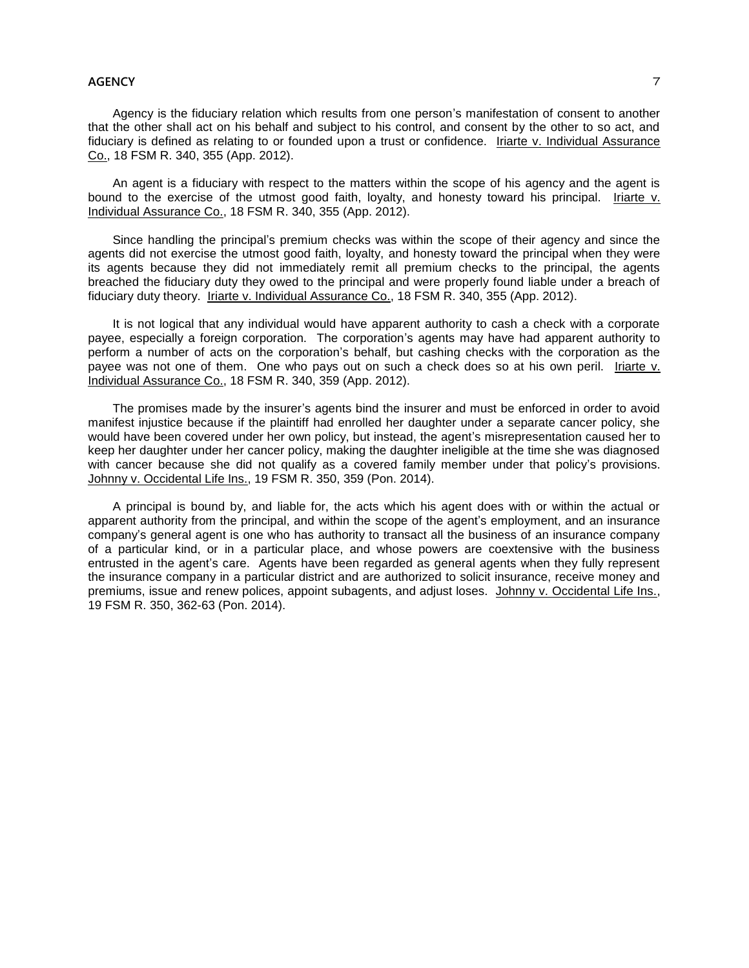Agency is the fiduciary relation which results from one person's manifestation of consent to another that the other shall act on his behalf and subject to his control, and consent by the other to so act, and fiduciary is defined as relating to or founded upon a trust or confidence. Iriarte v. Individual Assurance Co., 18 FSM R. 340, 355 (App. 2012).

An agent is a fiduciary with respect to the matters within the scope of his agency and the agent is bound to the exercise of the utmost good faith, loyalty, and honesty toward his principal. Iriarte v. Individual Assurance Co., 18 FSM R. 340, 355 (App. 2012).

Since handling the principal's premium checks was within the scope of their agency and since the agents did not exercise the utmost good faith, loyalty, and honesty toward the principal when they were its agents because they did not immediately remit all premium checks to the principal, the agents breached the fiduciary duty they owed to the principal and were properly found liable under a breach of fiduciary duty theory. Iriarte v. Individual Assurance Co., 18 FSM R. 340, 355 (App. 2012).

It is not logical that any individual would have apparent authority to cash a check with a corporate payee, especially a foreign corporation. The corporation's agents may have had apparent authority to perform a number of acts on the corporation's behalf, but cashing checks with the corporation as the payee was not one of them. One who pays out on such a check does so at his own peril. Iriarte v. Individual Assurance Co., 18 FSM R. 340, 359 (App. 2012).

The promises made by the insurer's agents bind the insurer and must be enforced in order to avoid manifest injustice because if the plaintiff had enrolled her daughter under a separate cancer policy, she would have been covered under her own policy, but instead, the agent's misrepresentation caused her to keep her daughter under her cancer policy, making the daughter ineligible at the time she was diagnosed with cancer because she did not qualify as a covered family member under that policy's provisions. Johnny v. Occidental Life Ins., 19 FSM R. 350, 359 (Pon. 2014).

A principal is bound by, and liable for, the acts which his agent does with or within the actual or apparent authority from the principal, and within the scope of the agent's employment, and an insurance company's general agent is one who has authority to transact all the business of an insurance company of a particular kind, or in a particular place, and whose powers are coextensive with the business entrusted in the agent's care. Agents have been regarded as general agents when they fully represent the insurance company in a particular district and are authorized to solicit insurance, receive money and premiums, issue and renew polices, appoint subagents, and adjust loses. Johnny v. Occidental Life Ins., 19 FSM R. 350, 362-63 (Pon. 2014).